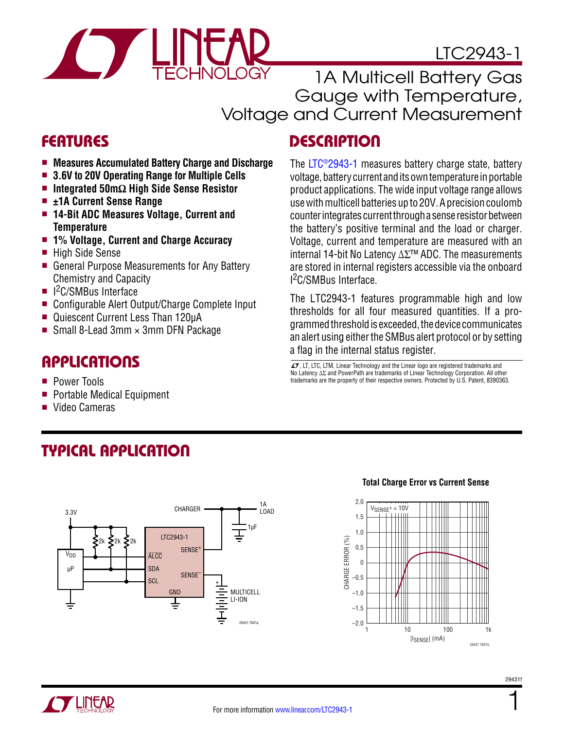

LTC2943-1

1A Multicell Battery Gas Gauge with Temperature, Voltage and Current Measurement

### FEATURES DESCRIPTION

- <sup>n</sup> **Measures Accumulated Battery Charge and Discharge**
- <sup>n</sup> **3.6V to 20V Operating Range for Multiple Cells**
- <sup>n</sup> **Integrated 50mΩ High Side Sense Resistor**
- ±1A Current Sense Range
- <sup>n</sup> **14-Bit ADC Measures Voltage, Current and Temperature**
- <sup>n</sup> **1% Voltage, Current and Charge Accuracy**
- High Side Sense
- General Purpose Measurements for Any Battery Chemistry and Capacity
- I<sup>2</sup>C/SMBus Interface
- Configurable Alert Output/Charge Complete Input
- Quiescent Current Less Than 120µA
- Small 8-Lead 3mm  $\times$  3mm DFN Package

### Applications

- Power Tools
- Portable Medical Equipment
- Video Cameras

### The [LTC®2943-1](http://www.linear.com/LTC2943-1) measures battery charge state, battery voltage, battery current and its own temperature in portable product applications. The wide input voltage range allows use with multicell batteries up to 20V. A precision coulomb counter integrates current through a sense resistor between the battery's positive terminal and the load or charger. Voltage, current and temperature are measured with an internal 14-bit No Latency ΔΣ™ ADC. The measurements are stored in internal registers accessible via the onboard I 2C/SMBus Interface.

The LTC2943-1 features programmable high and low thresholds for all four measured quantities. If a programmedthresholdis exceeded, thedevice communicates an alert using either the SMBus alert protocol or by setting a flag in the internal status register.

 $\overline{\mathcal{L} \mathcal{I}}$ . LT. LTC, LTM, Linear Technology and the Linear logo are registered trademarks and No Latency ∆Σ and PowerPath are trademarks of Linear Technology Corporation. All other trademarks are the property of their respective owners. Protected by U.S. Patent, 8390363.

Typical Application



#### **Total Charge Error vs Current Sense**





1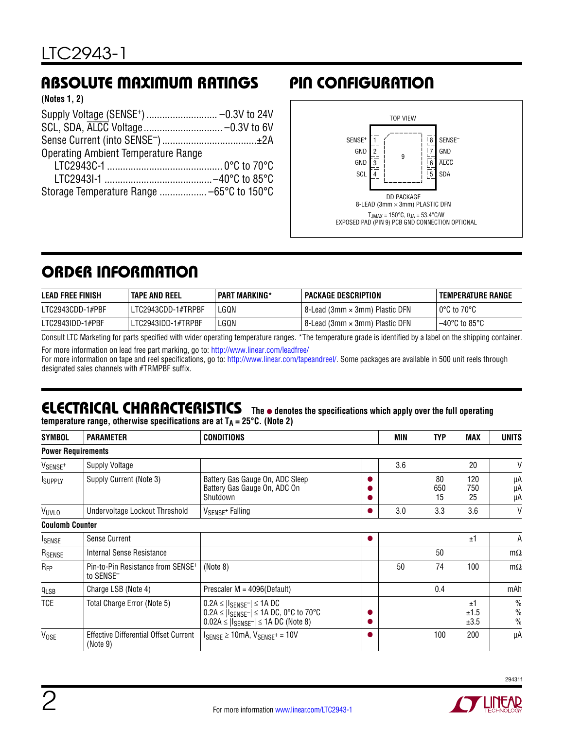## Absolute Maximum Ratings Pin Configuration

| (Notes 1, 2) |  |  |
|--------------|--|--|
|--------------|--|--|

| <b>Operating Ambient Temperature Range</b> |  |
|--------------------------------------------|--|
|                                            |  |
|                                            |  |
|                                            |  |



## ORDER INFORMATION

| <b>LEAD FREE FINISH</b> | TAPE AND REEL      | <b>PART MARKING*</b> | PACKAGE DESCRIPTION              | TEMPERATURE RANGE                  |
|-------------------------|--------------------|----------------------|----------------------------------|------------------------------------|
| LTC2943CDD-1#PBF        | LTC2943CDD-1#TRPBF | LGQN                 | ' 8-Lead (3mm × 3mm) Plastic DFN | l 0°C to 70°C                      |
| LTC2943IDD-1#PBF        | LTC2943IDD-1#TRPBF | LGQN                 | l 8-Lead (3mm × 3mm) Plastic DFN | $-40^{\circ}$ C to 85 $^{\circ}$ C |

Consult LTC Marketing for parts specified with wider operating temperature ranges. \*The temperature grade is identified by a label on the shipping container.

For more information on lead free part marking, go to:<http://www.linear.com/leadfree/>

For more information on tape and reel specifications, go to: <http://www.linear.com/tapeandreel/>. Some packages are available in 500 unit reels through designated sales channels with #TRMPBF suffix.

# **ELECTRICAL CHARACTERISTICS** The  $\bullet$  denotes the specifications which apply over the full operating

**temperature range, otherwise specifications are at**  $T_A = 25^{\circ}C$ **. (Note 2)** 

| <b>SYMBOL</b>             | <b>PARAMETER</b>                                                       | <b>CONDITIONS</b>                                                                                                                                  |  | MIN | <b>TYP</b>      | <b>MAX</b>         | <b>UNITS</b>                                    |
|---------------------------|------------------------------------------------------------------------|----------------------------------------------------------------------------------------------------------------------------------------------------|--|-----|-----------------|--------------------|-------------------------------------------------|
| <b>Power Requirements</b> |                                                                        |                                                                                                                                                    |  |     |                 |                    |                                                 |
| V <sub>SENSE</sub> +      | Supply Voltage                                                         |                                                                                                                                                    |  | 3.6 |                 | 20                 | V                                               |
| <b>ISUPPLY</b>            | Supply Current (Note 3)                                                | Battery Gas Gauge On, ADC Sleep<br>Battery Gas Gauge On, ADC On<br>Shutdown                                                                        |  |     | 80<br>650<br>15 | 120<br>750<br>25   | μA<br>μA<br>μA                                  |
| VUVLO                     | Undervoltage Lockout Threshold                                         | V <sub>SENSE</sub> + Falling                                                                                                                       |  | 3.0 | 3.3             | 3.6                | V                                               |
| <b>Coulomb Counter</b>    |                                                                        |                                                                                                                                                    |  |     |                 |                    |                                                 |
| <b>I</b> SENSE            | <b>Sense Current</b>                                                   |                                                                                                                                                    |  |     |                 | ±1                 | A                                               |
| RSENSE                    | Internal Sense Resistance                                              |                                                                                                                                                    |  |     | 50              |                    | $m\Omega$                                       |
| $R_{FP}$                  | Pin-to-Pin Resistance from SENSE <sup>+</sup><br>to SENSE <sup>-</sup> | (Note 8)                                                                                                                                           |  | 50  | 74              | 100                | $m\Omega$                                       |
| $q_{LSB}$                 | Charge LSB (Note 4)                                                    | Prescaler M = 4096(Default)                                                                                                                        |  |     | 0.4             |                    | mAh                                             |
| TCE                       | Total Charge Error (Note 5)                                            | $0.2A \leq  I_{SENSE} -   \leq 1A DC$<br>$0.2A \leq  I_{SENSE} -   \leq 1A \, DC$ , 0°C to 70°C<br>$0.02A \leq  I_{SENSE} -   \leq 1A DC$ (Note 8) |  |     |                 | ±1<br>±1.5<br>±3.5 | $\frac{0}{0}$<br>$\frac{0}{0}$<br>$\frac{0}{0}$ |
| <b>VOSE</b>               | <b>Effective Differential Offset Current</b><br>(Note 9)               | $I_{SENSE} \ge 10$ mA, $V_{SENSE^+} = 10V$                                                                                                         |  |     | 100             | 200                | μA                                              |



A Y LINCAR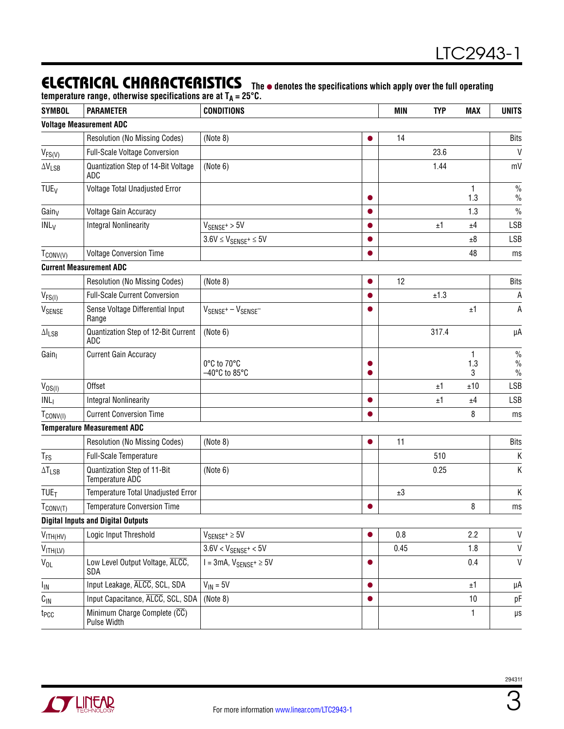### **ELECTRICAL CHARACTERISTICS** The  $\bullet$  denotes the specifications which apply over the full operating

temperature range, otherwise specifications are at T<sub>A</sub> = 25°C.

| <b>SYMBOL</b>              | <b>PARAMETER</b>                               | <b>CONDITIONS</b>                                 |           | <b>MIN</b> | <b>TYP</b> | <b>MAX</b> | <b>UNITS</b>         |
|----------------------------|------------------------------------------------|---------------------------------------------------|-----------|------------|------------|------------|----------------------|
|                            | <b>Voltage Measurement ADC</b>                 |                                                   |           |            |            |            |                      |
|                            | Resolution (No Missing Codes)                  | (Note 8)                                          |           | 14         |            |            | <b>Bits</b>          |
| $V_{FS(V)}$                | Full-Scale Voltage Conversion                  |                                                   |           |            | 23.6       |            | $\mathsf{V}$         |
| $\Delta V_{LSB}$           | Quantization Step of 14-Bit Voltage<br>ADC     | (Note 6)                                          |           |            | 1.44       |            | mV                   |
| TUE <sub>V</sub>           | Voltage Total Unadjusted Error                 |                                                   |           |            |            | 1.3        | $\%$<br>$\%$         |
| Gainy                      | <b>Voltage Gain Accuracy</b>                   |                                                   |           |            |            | 1.3        | $\frac{0}{0}$        |
| IMLy                       | <b>Integral Nonlinearity</b>                   | $V_{SENSE^+}$ > 5V                                | $\bullet$ |            | ±1         | ±4         | <b>LSB</b>           |
|                            |                                                | $3.6V \leq V_{SENSE^+} \leq 5V$                   |           |            |            | ±8         | <b>LSB</b>           |
| $T_{\text{CONV(V)}}$       | <b>Voltage Conversion Time</b>                 |                                                   |           |            |            | 48         | ms                   |
|                            | <b>Current Measurement ADC</b>                 |                                                   |           |            |            |            |                      |
|                            | Resolution (No Missing Codes)                  | (Note 8)                                          |           | 12         |            |            | <b>Bits</b>          |
| $V_{FS(I)}$                | <b>Full-Scale Current Conversion</b>           |                                                   | ●         |            | ±1.3       |            | A                    |
| VSENSE                     | Sense Voltage Differential Input<br>Range      | $V_{SENSF}$ + $-V_{SENSF}$                        |           |            |            | ±1         | А                    |
| $\Delta I_{LSB}$           | Quantization Step of 12-Bit Current<br>ADC     | (Note 6)                                          |           |            | 317.4      |            | μA                   |
| Gain                       | <b>Current Gain Accuracy</b>                   | 0°C to 70°C<br>$-40^{\circ}$ C to 85 $^{\circ}$ C |           |            |            | 1.3<br>3   | $\%$<br>$\%$<br>$\%$ |
| $V_{OS(1)}$                | Offset                                         |                                                   |           |            | ±1         | ±10        | LSB                  |
| INL <sub>1</sub>           | <b>Integral Nonlinearity</b>                   |                                                   |           |            | ±1         | ±4         | LSB                  |
| $T_{\text{CONV(1)}}$       | <b>Current Conversion Time</b>                 |                                                   |           |            |            | 8          | ms                   |
|                            | <b>Temperature Measurement ADC</b>             |                                                   |           |            |            |            |                      |
|                            | Resolution (No Missing Codes)                  | (Note 8)                                          | $\bullet$ | 11         |            |            | <b>Bits</b>          |
| T <sub>FS</sub>            | Full-Scale Temperature                         |                                                   |           |            | 510        |            | Κ                    |
| $\Delta T_{LSB}$           | Quantization Step of 11-Bit<br>Temperature ADC | (Note 6)                                          |           |            | 0.25       |            | Κ                    |
| <b>TUE<sub>T</sub></b>     | Temperature Total Unadjusted Error             |                                                   |           | ±3         |            |            | Κ                    |
| $T_{\text{CONV(T)}}$       | <b>Temperature Conversion Time</b>             |                                                   | $\bullet$ |            |            | 8          | ms                   |
|                            | <b>Digital Inputs and Digital Outputs</b>      |                                                   |           |            |            |            |                      |
| $V_{\text{ITH(HV)}}$       | Logic Input Threshold                          | $V_{SENSE^+} \geq 5V$                             |           | 0.8        |            | 2.2        | $\mathsf{V}$         |
| $V_{\text{ITH(LV)}}$       |                                                | $3.6V < V_{SENSE^+} < 5V$                         |           | 0.45       |            | 1.8        | $\mathsf{V}$         |
| $\mathsf{V}_{\mathsf{OL}}$ | Low Level Output Voltage, ALCC,<br>SDA         | $I = 3mA$ , $V_{SENSE^+} \ge 5V$                  | $\bullet$ |            |            | 0.4        | $\mathsf{V}$         |
| I <sub>IN</sub>            | Input Leakage, ALCC, SCL, SDA                  | $V_{IN} = 5V$                                     | $\bullet$ |            |            | ±1         | μA                   |
| $C_{\text{IN}}$            | Input Capacitance, ALCC, SCL, SDA              | (Note 8)                                          | $\bullet$ |            |            | 10         | pF                   |
| t <sub>PCC</sub>           | Minimum Charge Complete (CC)<br>Pulse Width    |                                                   |           |            |            | 1          | μs                   |

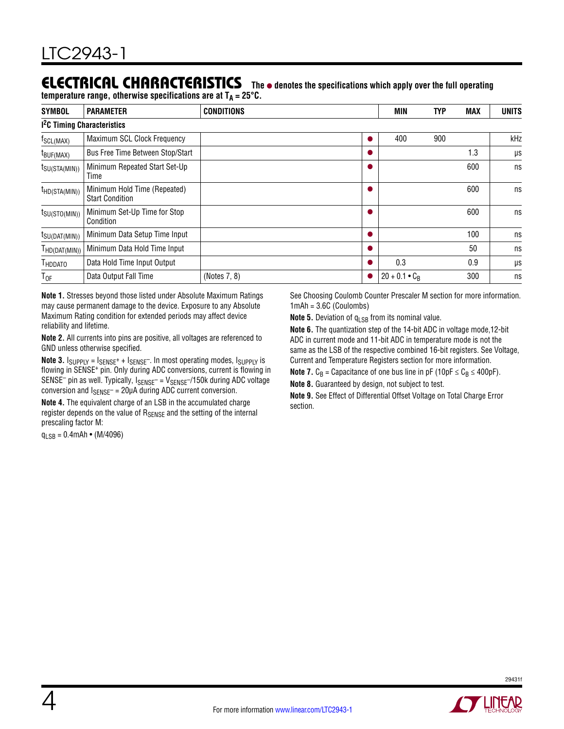#### Electrical Characteristics The  $\bullet$  denotes the specifications which apply over the full operating

temperature range, otherwise specifications are at T<sub>A</sub> = 25°C.

| <b>SYMBOL</b>             | <b>PARAMETER</b>                                       | <b>CONDITIONS</b> | <b>MIN</b>           | <b>TYP</b> | <b>MAX</b> | <b>UNITS</b> |
|---------------------------|--------------------------------------------------------|-------------------|----------------------|------------|------------|--------------|
|                           | <b>1<sup>2</sup>C Timing Characteristics</b>           |                   |                      |            |            |              |
| f <sub>SCL(MAX)</sub>     | Maximum SCL Clock Frequency                            |                   | 400                  | 900        |            | kHz          |
| t <sub>BUF(MAX)</sub>     | Bus Free Time Between Stop/Start                       |                   |                      |            | l.3        | μs           |
| $t_{\text{SU(STA(MIN))}}$ | Minimum Repeated Start Set-Up<br>Time                  |                   |                      |            | 600        | ns           |
| $t_{HD(STA(MIN))}$        | Minimum Hold Time (Repeated)<br><b>Start Condition</b> |                   |                      |            | 600        | ns           |
| $t_{\text{SU(STO(MIN))}}$ | Minimum Set-Up Time for Stop<br>Condition              |                   |                      |            | 600        | ns           |
| $t_{\text{SU(DAT(MIN))}}$ | Minimum Data Setup Time Input                          |                   |                      |            | 100        | ns           |
| $I_{HD(DAT(MIN))}$        | Minimum Data Hold Time Input                           |                   |                      |            | 50         | ns           |
| <b>HDDATO</b>             | Data Hold Time Input Output                            |                   | 0.3                  |            | 0.9        | μs           |
| $T_{OF}$                  | Data Output Fall Time                                  | (Notes 7, 8)      | $20 + 0.1 \cdot C_R$ |            | 300        | ns           |

**Note 1.** Stresses beyond those listed under Absolute Maximum Ratings may cause permanent damage to the device. Exposure to any Absolute Maximum Rating condition for extended periods may affect device reliability and lifetime.

**Note 2.** All currents into pins are positive, all voltages are referenced to GND unless otherwise specified.

**Note 3.**  $I_{SUPPLY} = I_{SENSE^+} + I_{SENSE^-}$ . In most operating modes,  $I_{SUPPLY}$  is flowing in SENSE<sup>+</sup> pin. Only during ADC conversions, current is flowing in  $SENSE<sup>-</sup>$  pin as well. Typically,  $I_{SENSE<sup>-</sup>} = V_{SENSE<sup>-</sup>}/150k$  during ADC voltage conversion and  $I_{SENSE}$  = 20µA during ADC current conversion.

**Note 4.** The equivalent charge of an LSB in the accumulated charge register depends on the value of  $R_{\text{SENSE}}$  and the setting of the internal prescaling factor M:

 $q_{LSR} = 0.4$ mAh • (M/4096)

See Choosing Coulomb Counter Prescaler M section for more information. 1mAh = 3.6C (Coulombs)

**Note 5.** Deviation of q<sub>LSB</sub> from its nominal value.

**Note 6.** The quantization step of the 14-bit ADC in voltage mode,12-bit ADC in current mode and 11-bit ADC in temperature mode is not the same as the LSB of the respective combined 16-bit registers. See Voltage, Current and Temperature Registers section for more information.

**Note 7.**  $C_B$  = Capacitance of one bus line in pF (10pF  $\leq C_B \leq 400$ pF).

**Note 8.** Guaranteed by design, not subject to test.

**Note 9.** See Effect of Differential Offset Voltage on Total Charge Error section.

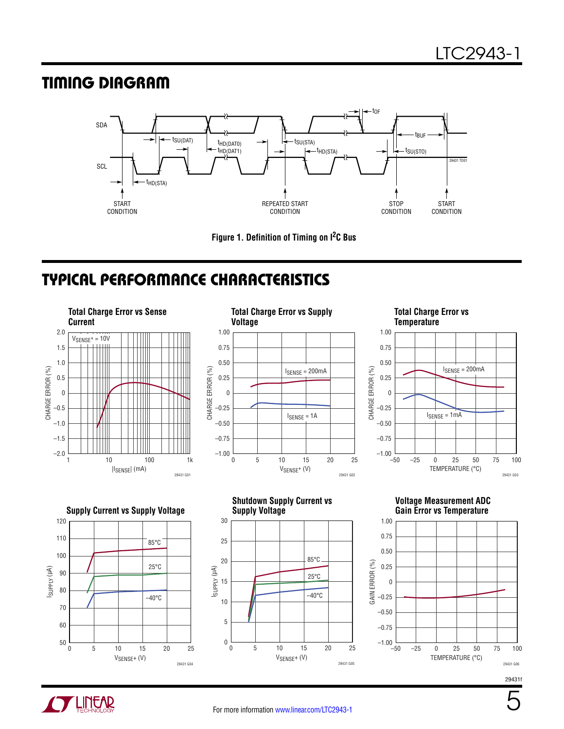### Timing Diagram



**Figure 1. Definition of Timing on I2C Bus**

### Typical Performance Characteristics



29431 G03



29431f



VSENSE+ (V)

29431 G04

VSENSE+ (V)

29431 G05

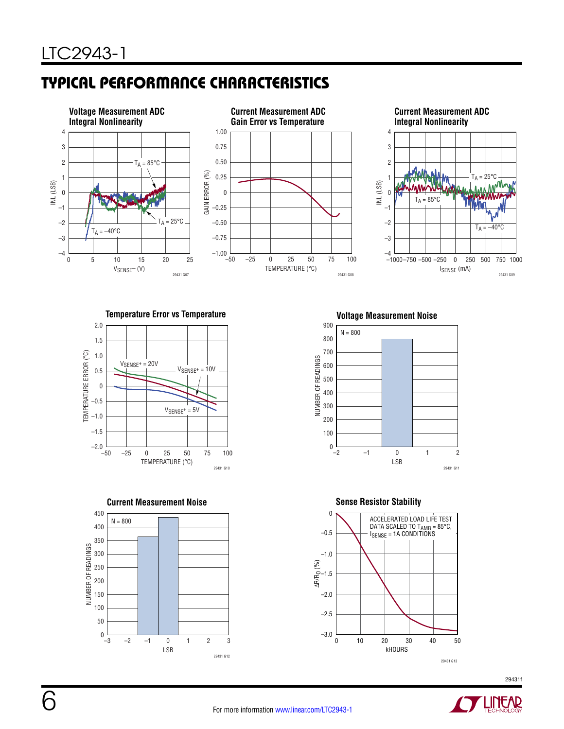# Typical Performance Characteristics



**Temperature Error vs Temperature Voltage Measurement Noise**









**Sense Resistor Stability**



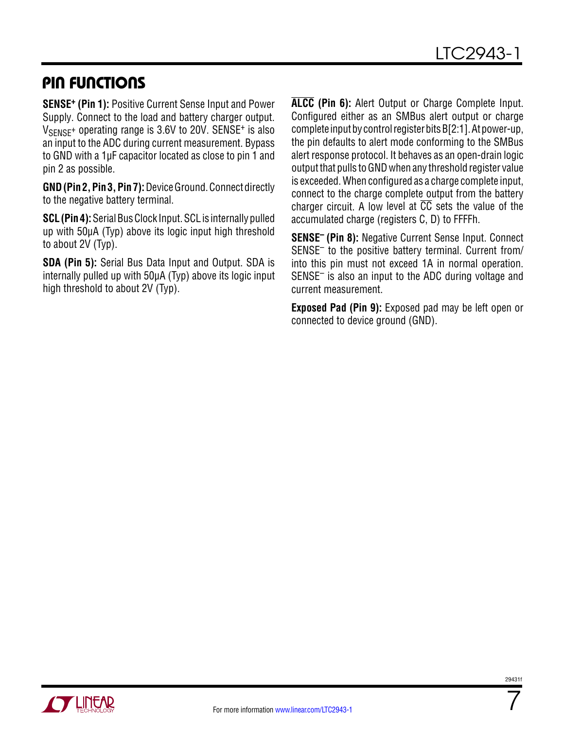### Pin Functions

**SENSE+ (Pin 1):** Positive Current Sense Input and Power Supply. Connect to the load and battery charger output.  $V_{\text{SENSF}}$ + operating range is 3.6V to 20V. SENSE<sup>+</sup> is also an input to the ADC during current measurement. Bypass to GND with a 1µF capacitor located as close to pin 1 and pin 2 as possible.

**GND (Pin 2, Pin 3, Pin 7):** Device Ground. Connect directly to the negative battery terminal.

**SCL (Pin 4):** Serial Bus Clock Input. SCL is internally pulled up with 50µA (Typ) above its logic input high threshold to about 2V (Typ).

**SDA (Pin 5):** Serial Bus Data Input and Output. SDA is internally pulled up with 50µA (Typ) above its logic input high threshold to about 2V (Typ).

**ALCC (Pin 6):** Alert Output or Charge Complete Input. Configured either as an SMBus alert output or charge complete inputby controlregisterbits B[2:1]. Atpower-up, the pin defaults to alert mode conforming to the SMBus alert response protocol. It behaves as an open-drain logic output that pulls to GND when any threshold register value is exceeded. When configured as a charge complete input, connect to the charge complete output from the battery charger circuit. A low level at  $\overline{CC}$  sets the value of the accumulated charge (registers C, D) to FFFFh.

**SENSE– (Pin 8):** Negative Current Sense Input. Connect SENSE– to the positive battery terminal. Current from/ into this pin must not exceed 1A in normal operation. SENSE– is also an input to the ADC during voltage and current measurement.

**Exposed Pad (Pin 9):** Exposed pad may be left open or connected to device ground (GND).



7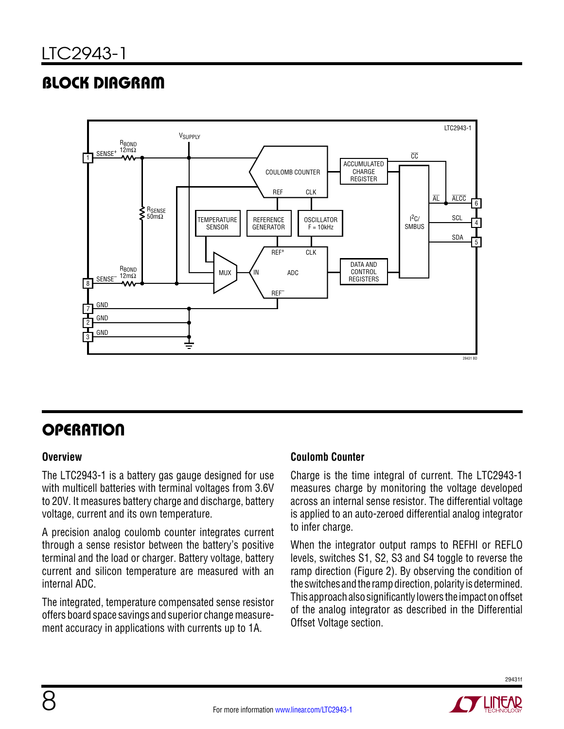# Block Diagram



# **OPERATION**

### **Overview**

The LTC2943-1 is a battery gas gauge designed for use with multicell batteries with terminal voltages from 3.6V to 20V. It measures battery charge and discharge, battery voltage, current and its own temperature.

A precision analog coulomb counter integrates current through a sense resistor between the battery's positive terminal and the load or charger. Battery voltage, battery current and silicon temperature are measured with an internal ADC.

The integrated, temperature compensated sense resistor offers board space savings and superior change measurement accuracy in applications with currents up to 1A.

### **Coulomb Counter**

Charge is the time integral of current. The LTC2943-1 measures charge by monitoring the voltage developed across an internal sense resistor. The differential voltage is applied to an auto-zeroed differential analog integrator to infer charge.

When the integrator output ramps to REFHI or REFLO levels, switches S1, S2, S3 and S4 toggle to reverse the ramp direction (Figure 2). By observing the condition of the switches and the ramp direction, polarity is determined. This approachalsosignificantly lowers the impactonoffset of the analog integrator as described in the Differential Offset Voltage section.

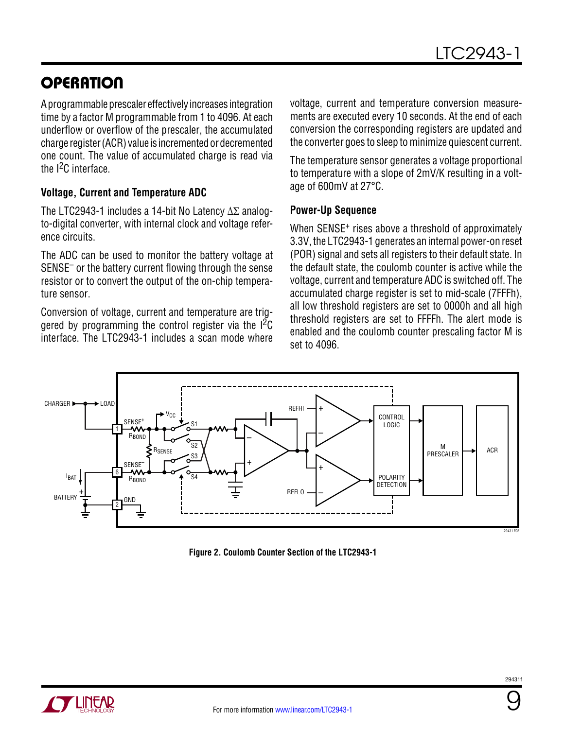# **OPERATION**

A programmable prescaler effectively increases integration time by a factor M programmable from 1 to 4096. At each underflow or overflow of the prescaler, the accumulated charge register (ACR) value is incremented or decremented one count. The value of accumulated charge is read via the I2C interface.

### **Voltage, Current and Temperature ADC**

The LTC2943-1 includes a 14-bit No Latency ΔΣ analogto-digital converter, with internal clock and voltage reference circuits.

The ADC can be used to monitor the battery voltage at SENSE– or the battery current flowing through the sense resistor or to convert the output of the on-chip temperature sensor.

Conversion of voltage, current and temperature are triggered by programming the control register via the  $1^2C$ interface. The LTC2943-1 includes a scan mode where voltage, current and temperature conversion measurements are executed every 10 seconds. At the end of each conversion the corresponding registers are updated and the converter goes to sleep to minimize quiescent current.

The temperature sensor generates a voltage proportional to temperature with a slope of 2mV/K resulting in a voltage of 600mV at 27°C.

#### **Power-Up Sequence**

When SENSE<sup>+</sup> rises above a threshold of approximately 3.3V, the LTC2943-1 generates an internal power-on reset (POR) signal and sets all registers to their default state. In the default state, the coulomb counter is active while the voltage, current and temperature ADC is switched off. The accumulated charge register is set to mid-scale (7FFFh), all low threshold registers are set to 0000h and all high threshold registers are set to FFFFh. The alert mode is enabled and the coulomb counter prescaling factor M is set to 4096.



**Figure 2. Coulomb Counter Section of the LTC2943-1**



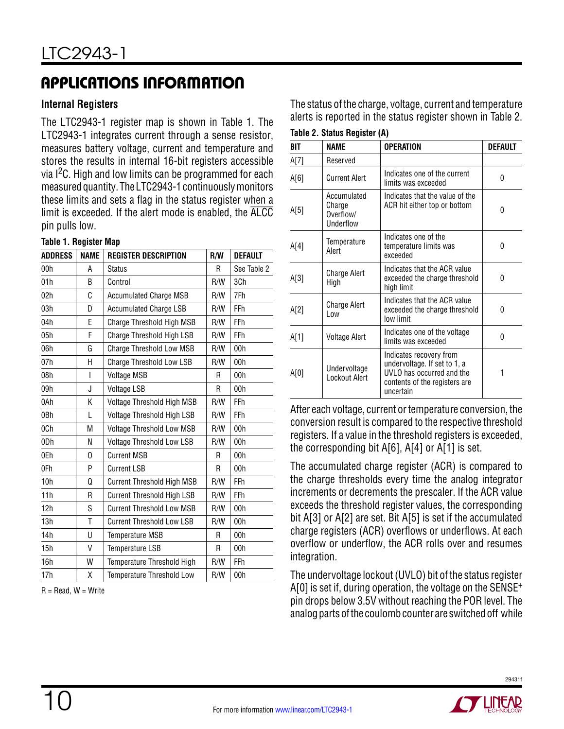#### **Internal Registers**

The LTC2943-1 register map is shown in Table 1. The LTC2943-1 integrates current through a sense resistor, measures battery voltage, current and temperature and stores the results in internal 16-bit registers accessible via I<sup>2</sup>C. High and low limits can be programmed for each measured quantity. The LTC2943-1 continuously monitors these limits and sets a flag in the status register when a limit is exceeded. If the alert mode is enabled, the ALCC pin pulls low.

#### **Table 1. Register Map**

| <b>ADDRESS</b> | <b>NAME</b> | <b>REGISTER DESCRIPTION</b>       | R/W | <b>DEFAULT</b>  |
|----------------|-------------|-----------------------------------|-----|-----------------|
| 00h            | А           | <b>Status</b>                     | R   | See Table 2     |
| 01h            | B           | Control                           | R/W | 3Ch             |
| 02h            | C           | <b>Accumulated Charge MSB</b>     | R/W | 7Fh             |
| 03h            | D           | <b>Accumulated Charge LSB</b>     | R/W | FFh             |
| 04h            | E           | Charge Threshold High MSB         | R/W | FFh             |
| 05h            | F           | Charge Threshold High LSB         | R/W | FFh             |
| 06h            | G           | Charge Threshold Low MSB          | R/W | 00h             |
| 07h            | H           | <b>Charge Threshold Low LSB</b>   | R/W | 00h             |
| 08h            | I           | <b>Voltage MSB</b>                | R   | 00h             |
| 09h            | J           | <b>Voltage LSB</b>                | R   | 00h             |
| 0Ah            | K           | Voltage Threshold High MSB        | R/W | FFh             |
| 0Bh            | L           | Voltage Threshold High LSB        | R/W | FFh             |
| 0Ch            | M           | Voltage Threshold Low MSB         | R/W | 00 <sub>h</sub> |
| 0Dh            | N           | Voltage Threshold Low LSB         | R/W | 00h             |
| 0Eh            | 0           | <b>Current MSB</b>                | R   | 00h             |
| 0Fh            | P           | <b>Current LSB</b>                | R   | 00h             |
| 10h            | Q           | <b>Current Threshold High MSB</b> | R/W | FFh             |
| 11h            | R           | <b>Current Threshold High LSB</b> | R/W | FFh             |
| 12h            | S           | <b>Current Threshold Low MSB</b>  | R/W | 00h             |
| 13h            | Τ           | <b>Current Threshold Low LSB</b>  | R/W | 00h             |
| 14h            | U           | <b>Temperature MSB</b>            | R   | 00h             |
| 15h            | V           | Temperature LSB                   | R   | 00h             |
| 16h            | W           | Temperature Threshold High        | R/W | FFh             |
| 17h            | χ           | <b>Temperature Threshold Low</b>  | R/W | 00h             |

 $R = Read$ .  $W = Write$ 

The status of the charge, voltage, current and temperature alerts is reported in the status register shown in Table 2.

|  |  | Table 2. Status Register (A) |  |
|--|--|------------------------------|--|
|--|--|------------------------------|--|

| BIT  | <b>NAME</b>                                     | <b>OPERATION</b>                                                                                                                   | <b>DEFAULT</b> |
|------|-------------------------------------------------|------------------------------------------------------------------------------------------------------------------------------------|----------------|
| A[7] | Reserved                                        |                                                                                                                                    |                |
| A[6] | <b>Current Alert</b>                            | Indicates one of the current<br>limits was exceeded                                                                                | 0              |
| A[5] | Accumulated<br>Charge<br>Overflow/<br>Underflow | Indicates that the value of the<br>ACR hit either top or bottom                                                                    | 0              |
| A[4] | Temperature<br>Alert                            | Indicates one of the<br>temperature limits was<br>habaaoxa                                                                         | 0              |
| A[3] | Charge Alert<br>High                            | Indicates that the ACR value<br>exceeded the charge threshold<br>high limit                                                        | 0              |
| A[2] | Charge Alert<br>l ow                            | Indicates that the ACR value<br>exceeded the charge threshold<br>low limit                                                         | 0              |
| A[1] | Voltage Alert                                   | Indicates one of the voltage<br>limits was exceeded                                                                                | 0              |
| A[0] | Undervoltage<br>Lockout Alert                   | Indicates recovery from<br>undervoltage. If set to 1, a<br>UVLO has occurred and the<br>contents of the registers are<br>uncertain | 1              |

After each voltage, current or temperature conversion, the conversion result is compared to the respective threshold registers. If a value in the threshold registers is exceeded, the corresponding bit A[6], A[4] or A[1] is set.

The accumulated charge register (ACR) is compared to the charge thresholds every time the analog integrator increments or decrements the prescaler. If the ACR value exceeds the threshold register values, the corresponding bit A[3] or A[2] are set. Bit A[5] is set if the accumulated charge registers (ACR) overflows or underflows. At each overflow or underflow, the ACR rolls over and resumes integration.

The undervoltage lockout (UVLO) bit of the status register A[0] is set if, during operation, the voltage on the SENSE<sup>+</sup> pin drops below 3.5V without reaching the POR level. The analog parts of the coulomb counter are switched off while

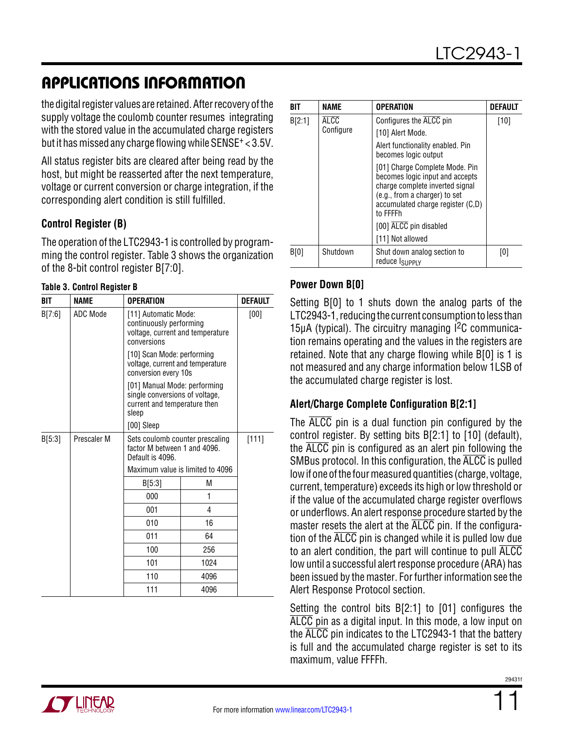the digital register values are retained. After recovery of the supply voltage the coulomb counter resumes integrating with the stored value in the accumulated charge registers but it has missed any charge flowing while SENSE+ < 3.5V.

All status register bits are cleared after being read by the host, but might be reasserted after the next temperature, voltage or current conversion or charge integration, if the corresponding alert condition is still fulfilled.

### **Control Register (B)**

The operation of the LTC2943-1 is controlled by programming the control register. Table 3 shows the organization of the 8-bit control register B[7:0].

#### **Table 3. Control Register B**

| BIT    | <b>NAME</b> | <b>OPERATION</b>                                                                                   |                                                                                                | <b>DEFAULT</b> |  |  |
|--------|-------------|----------------------------------------------------------------------------------------------------|------------------------------------------------------------------------------------------------|----------------|--|--|
| B[7:6] | ADC Mode    | [11] Automatic Mode:<br>continuously performing<br>voltage, current and temperature<br>conversions |                                                                                                | [00]           |  |  |
|        |             | [10] Scan Mode: performing<br>voltage, current and temperature<br>conversion every 10s             |                                                                                                |                |  |  |
|        |             | sleep                                                                                              | [01] Manual Mode: performing<br>single conversions of voltage,<br>current and temperature then |                |  |  |
|        |             | [00] Sleep                                                                                         |                                                                                                |                |  |  |
| B[5:3] | Prescaler M | Sets coulomb counter prescaling<br>factor M between 1 and 4096.<br>Default is 4096.                |                                                                                                | [111]          |  |  |
|        |             | Maximum value is limited to 4096                                                                   |                                                                                                |                |  |  |
|        |             | B[5:3]                                                                                             | М                                                                                              |                |  |  |
|        |             | 000                                                                                                | 1                                                                                              |                |  |  |
|        |             | 001                                                                                                | 4                                                                                              |                |  |  |
|        |             | 010                                                                                                | 16                                                                                             |                |  |  |
|        |             | 011                                                                                                | 64                                                                                             |                |  |  |
|        |             | 100                                                                                                | 256                                                                                            |                |  |  |
|        |             | 101                                                                                                | 1024                                                                                           |                |  |  |
|        |             | 110                                                                                                | 4096                                                                                           |                |  |  |
|        |             | 111                                                                                                | 4096                                                                                           |                |  |  |

| RIT    | NAME        | OPERATION                                                                                                                                                                              | DEFAULT |
|--------|-------------|----------------------------------------------------------------------------------------------------------------------------------------------------------------------------------------|---------|
| B[2:1] | <b>ALCC</b> | Configures the ALCC pin                                                                                                                                                                | $[10]$  |
|        | Configure   | [10] Alert Mode.                                                                                                                                                                       |         |
|        |             | Alert functionality enabled. Pin<br>becomes logic output                                                                                                                               |         |
|        |             | [01] Charge Complete Mode. Pin<br>becomes logic input and accepts<br>charge complete inverted signal<br>(e.g., from a charger) to set<br>accumulated charge register (C,D)<br>to FFFFh |         |
|        |             | [00] ALCC pin disabled                                                                                                                                                                 |         |
|        |             | [11] Not allowed                                                                                                                                                                       |         |
| B[0]   | Shutdown    | Shut down analog section to<br>reduce I <sub>SUPPLY</sub>                                                                                                                              | [0]     |

### **Power Down B[0]**

Setting B[0] to 1 shuts down the analog parts of the LTC2943-1, reducing the current consumption to less than 15μA (typical). The circuitry managing  $I^2C$  communication remains operating and the values in the registers are retained. Note that any charge flowing while B[0] is 1 is not measured and any charge information below 1LSB of the accumulated charge register is lost.

### **Alert/Charge Complete Configuration B[2:1]**

The ALCC pin is a dual function pin configured by the control register. By setting bits B[2:1] to [10] (default), the ALCC pin is configured as an alert pin following the SMBus protocol. In this configuration, the ALCC is pulled low if one of the four measured quantities (charge, voltage, current, temperature) exceeds its high or low threshold or if the value of the accumulated charge register overflows or underflows. An alert response procedure started by the master resets the alert at the ALCC pin. If the configuration of the ALCC pin is changed while it is pulled low due to an alert condition, the part will continue to pull ALCC low until a successful alert response procedure (ARA) has been issued by the master. For further information see the Alert Response Protocol section.

Setting the control bits B[2:1] to [01] configures the ALCC pin as a digital input. In this mode, a low input on the ALCC pin indicates to the LTC2943-1 that the battery is full and the accumulated charge register is set to its maximum, value FFFFh.

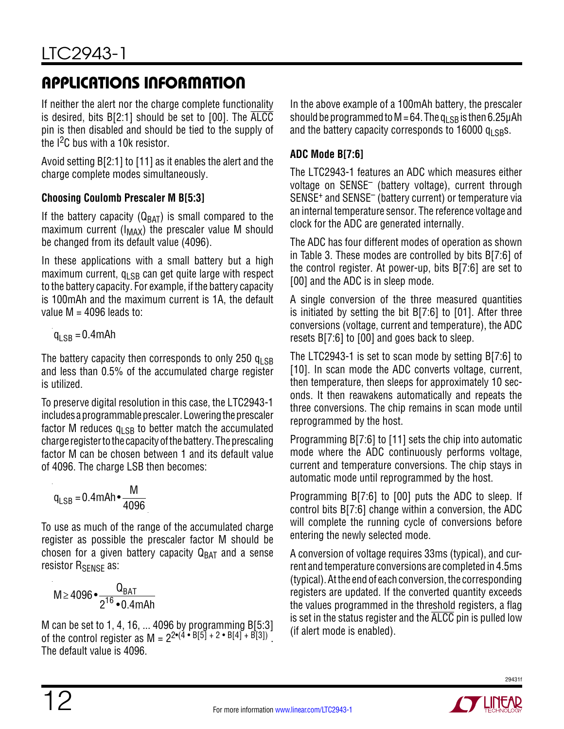If neither the alert nor the charge complete functionality is desired, bits B[2:1] should be set to [00]. The ALCC pin is then disabled and should be tied to the supply of the I<sup>2</sup>C bus with a 10k resistor.

Avoid setting B[2:1] to [11] as it enables the alert and the charge complete modes simultaneously.

### **Choosing Coulomb Prescaler M B[5:3]**

If the battery capacity ( $Q_{BAT}$ ) is small compared to the maximum current ( $I_{MAX}$ ) the prescaler value M should be changed from its default value (4096).

In these applications with a small battery but a high maximum current,  $q_{LSB}$  can get quite large with respect to the battery capacity. For example, if the battery capacity is 100mAh and the maximum current is 1A, the default value  $M = 4096$  leads to:

$$
q_{LSB}=0.4mAh
$$

The battery capacity then corresponds to only 250  $q_{\text{LSB}}$ and less than 0.5% of the accumulated charge register is utilized.

To preserve digital resolution in this case, the LTC2943-1 includes a programmable prescaler. Lowering the prescaler factor M reduces  $q_{LSB}$  to better match the accumulated charge register to the capacity of the battery. The prescaling factor M can be chosen between 1 and its default value of 4096. The charge LSB then becomes:

$$
q_{LSB} = 0.4 \text{mAh} \cdot \frac{M}{4096}
$$

To use as much of the range of the accumulated charge register as possible the prescaler factor M should be chosen for a given battery capacity  $Q_{BAT}$  and a sense resistor R<sub>SFNSF</sub> as:

$$
M \ge 4096 \bullet \frac{Q_{BAT}}{2^{16} \bullet 0.4 mAh}
$$

M can be set to 1, 4, 16, ... 4096 by programming B[5:3] of the control register as  $M = 2^{2 \cdot (4 \cdot 16)} = 2^{12 \cdot 16} = 16^{13} \cdot 16^{13} = 16^{13} \cdot 16^{13} = 16^{13} \cdot 16^{13} = 16^{13} \cdot 16^{13} = 16^{13} \cdot 16^{13} = 16^{13} \cdot 16^{13} = 16^{13} \cdot 16^{13} = 16^{13} \cdot 16^{13} = 16^{13} \cdot 16^{13} = 16^{13} \cdot 1$ The default value is 4096.

In the above example of a 100mAh battery, the prescaler should be programmed to M = 64. The  $q_{\rm LSR}$  is then 6.25µAh and the battery capacity corresponds to 16000  $q_{LSB}s$ .

### **ADC Mode B[7:6]**

The LTC2943-1 features an ADC which measures either voltage on SENSE– (battery voltage), current through SENSE+ and SENSE– (battery current) or temperature via an internal temperature sensor. The reference voltage and clock for the ADC are generated internally.

The ADC has four different modes of operation as shown in Table 3. These modes are controlled by bits B[7:6] of the control register. At power-up, bits B[7:6] are set to [00] and the ADC is in sleep mode.

A single conversion of the three measured quantities is initiated by setting the bit B[7:6] to [01]. After three conversions (voltage, current and temperature), the ADC resets B[7:6] to [00] and goes back to sleep.

The LTC2943-1 is set to scan mode by setting B[7:6] to [10]. In scan mode the ADC converts voltage, current, then temperature, then sleeps for approximately 10 seconds. It then reawakens automatically and repeats the three conversions. The chip remains in scan mode until reprogrammed by the host.

Programming B[7:6] to [11] sets the chip into automatic mode where the ADC continuously performs voltage, current and temperature conversions. The chip stays in automatic mode until reprogrammed by the host.

Programming B[7:6] to [00] puts the ADC to sleep. If control bits B[7:6] change within a conversion, the ADC will complete the running cycle of conversions before entering the newly selected mode.

A conversion of voltage requires 33ms (typical), and current and temperature conversions are completed in 4.5ms (typical). At the end of each conversion, the corresponding registers are updated. If the converted quantity exceeds the values programmed in the threshold registers, a flag is set in the status register and the  $\overline{\text{ALCC}}$  pin is pulled low (if alert mode is enabled).

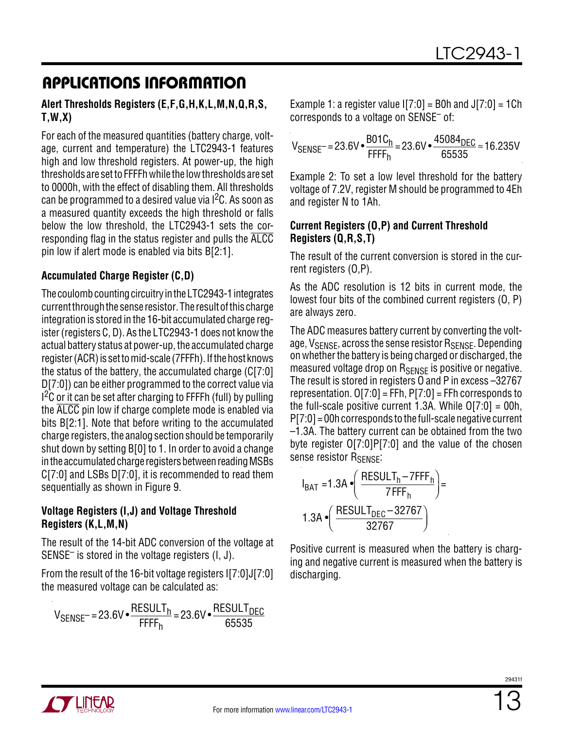#### **Alert Thresholds Registers (E,F,G,H,K,L,M,N,Q,R,S, T,W,X)**

For each of the measured quantities (battery charge, voltage, current and temperature) the LTC2943-1 features high and low threshold registers. At power-up, the high thresholds are set to FFFFh while the low thresholds are set to 0000h, with the effect of disabling them. All thresholds can be programmed to a desired value via  $1<sup>2</sup>C$ . As soon as a measured quantity exceeds the high threshold or falls below the low threshold, the LTC2943-1 sets the corresponding flag in the status register and pulls the ALCC pin low if alert mode is enabled via bits B[2:1].

### **Accumulated Charge Register (C,D)**

The coulomb counting circuitry in the LTC2943-1 integrates current through the sense resistor. The result of this charge integration is stored in the 16-bit accumulated charge register (registers C, D). As the LTC2943-1 does not know the actual battery status at power-up, the accumulated charge register (ACR) is set to mid-scale (7FFFh). If the host knows the status of the battery, the accumulated charge (C[7:0] D[7:0]) can be either programmed to the correct value via  $1<sup>2</sup>C$  or it can be set after charging to FFFFh (full) by pulling the ALCC pin low if charge complete mode is enabled via bits B[2:1]. Note that before writing to the accumulated charge registers, the analog section should be temporarily shut down by setting B[0] to 1. In order to avoid a change in the accumulated charge registers between reading MSBs C[7:0] and LSBs D[7:0], it is recommended to read them sequentially as shown in Figure 9.

### **Voltage Registers (I,J) and Voltage Threshold Registers (K,L,M,N)**

The result of the 14-bit ADC conversion of the voltage at SENSE– is stored in the voltage registers (I, J).

From the result of the 16-bit voltage registers I[7:0]J[7:0] the measured voltage can be calculated as:

$$
V_{\text{SENSE}} = 23.6 \text{V} \cdot \frac{\text{RESULT}_{h}}{\text{FFFF}_{h}} = 23.6 \text{V} \cdot \frac{\text{RESULT}_{\text{DEC}}}{65535}
$$

Example 1: a register value  $[7:0] =$  B0h and  $J[7:0] = 1$ Ch corresponds to a voltage on SENSE– of:

$$
V_{SENSE}
$$
 = 23.6 $V \cdot \frac{B01C_h}{FFF_h}$  = 23.6 $V \cdot \frac{45084_{DEC}}{65535}$   $\approx$  16.235 $V$ 

Example 2: To set a low level threshold for the battery voltage of 7.2V, register M should be programmed to 4Eh and register N to 1Ah.

#### **Current Registers (O,P) and Current Threshold Registers (Q,R,S,T)**

The result of the current conversion is stored in the current registers (O,P).

As the ADC resolution is 12 bits in current mode, the lowest four bits of the combined current registers (O, P) are always zero.

The ADC measures battery current by converting the voltage,  $V_{\text{SFRSE}}$ , across the sense resistor  $R_{\text{SFRSE}}$ . Depending on whether the battery is being charged or discharged, the measured voltage drop on R<sub>SENSE</sub> is positive or negative. The result is stored in registers O and P in excess –32767 representation.  $O[7:0] = FFh$ ,  $P[7:0] = FFh$  corresponds to the full-scale positive current 1.3A. While  $O[7:0] = O(0)$ , P[7:0] = 00h corresponds to the full-scale negative current –1.3A. The battery current can be obtained from the two byte register O[7:0]P[7:0] and the value of the chosen sense resistor R<sub>SENSE</sub>:

$$
I_{BAT} = 1.3A \cdot \left(\frac{RESULT_{h} - 7FFF_{h}}{7FFF_{h}}\right) = 1.3A \cdot \left(\frac{RESULT_{DEC} - 32767}{32767}\right)
$$

Positive current is measured when the battery is charging and negative current is measured when the battery is discharging.

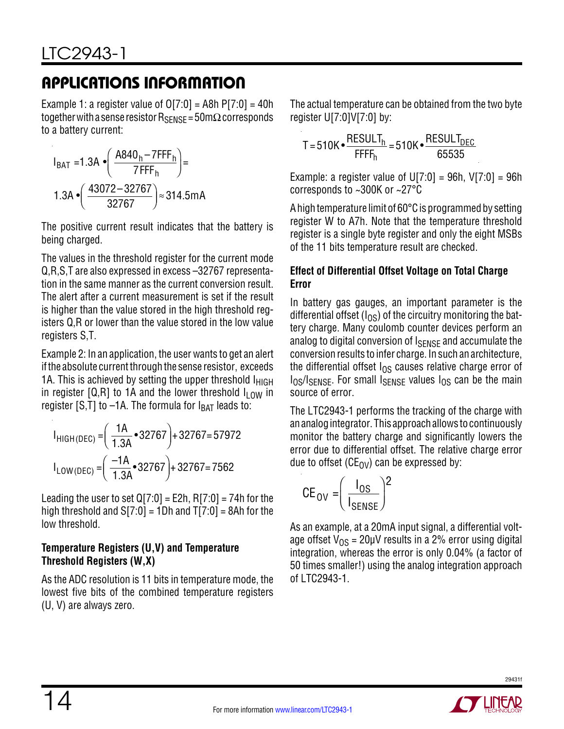Example 1: a register value of  $O[7:0] = A8h P[7:0] = 40h$ together with a sense resistor  $R_{\text{SENSF}} = 50 \text{m}\Omega$  corresponds to a battery current:

$$
I_{BAT} = 1.3A \cdot \left(\frac{A840_h - 7FFF_h}{7FFF_h}\right) =
$$
  
1.3A \cdot \left(\frac{43072 - 32767}{32767}\right) \approx 314.5mA

The positive current result indicates that the battery is being charged.

The values in the threshold register for the current mode Q,R,S,T are also expressed in excess –32767 representation in the same manner as the current conversion result. The alert after a current measurement is set if the result is higher than the value stored in the high threshold registers Q,R or lower than the value stored in the low value registers S,T.

Example 2: In an application, the user wants to get an alert if the absolute current through the sense resistor, exceeds 1A. This is achieved by setting the upper threshold  $I_{HIGH}$ in register [Q,R] to 1A and the lower threshold  $I_{LOW}$  in register [S,T] to  $-1A$ . The formula for  $I_{BAT}$  leads to:

$$
I_{HIGH(DEC)} = \left(\frac{1A}{1.3A} \cdot 32767\right) + 32767 = 57972
$$
  

$$
I_{LOW(DEC)} = \left(\frac{-1A}{1.3A} \cdot 32767\right) + 32767 = 7562
$$

Leading the user to set  $Q[7:0] = E2h$ , R[7:0] = 74h for the high threshold and  $S[7:0] = 1Dh$  and  $T[7:0] = 8Ah$  for the low threshold.

### **Temperature Registers (U,V) and Temperature Threshold Registers (W,X)**

As the ADC resolution is 11 bits in temperature mode, the lowest five bits of the combined temperature registers (U, V) are always zero.

The actual temperature can be obtained from the two byte register U[7:0]V[7:0] by:

$$
T = 510K \bullet \frac{RESULT_{h}}{FFF_{h}} = 510K \bullet \frac{RESULT_{DEC}}{65535}
$$

Example: a register value of  $U[7:0] = 96h$ ,  $V[7:0] = 96h$ corresponds to ~300K or ~27°C

A high temperature limit of 60°C is programmed by setting register W to A7h. Note that the temperature threshold register is a single byte register and only the eight MSBs of the 11 bits temperature result are checked.

### **Effect of Differential Offset Voltage on Total Charge Error**

In battery gas gauges, an important parameter is the differential offset ( $I_{OS}$ ) of the circuitry monitoring the battery charge. Many coulomb counter devices perform an analog to digital conversion of ISENSE and accumulate the conversion results to infer charge. In such an architecture, the differential offset  $I_{OS}$  causes relative charge error of  $I_{OS}/I_{SENSE}$ . For small  $I_{SENSE}$  values  $I_{OS}$  can be the main source of error.

The LTC2943-1 performs the tracking of the charge with ananalogintegrator. This approachallows tocontinuously monitor the battery charge and significantly lowers the error due to differential offset. The relative charge error due to offset ( $CE_{\rm OV}$ ) can be expressed by:

$$
\mathsf{CE}_{\mathsf{OV}} = \left(\frac{\mathsf{I}_{\mathsf{OS}}}{\mathsf{I}_{\mathsf{SENSE}}}\right)^2
$$

As an example, at a 20mA input signal, a differential voltage offset  $V_{OS}$  = 20µV results in a 2% error using digital integration, whereas the error is only 0.04% (a factor of 50 times smaller!) using the analog integration approach of LTC2943-1.

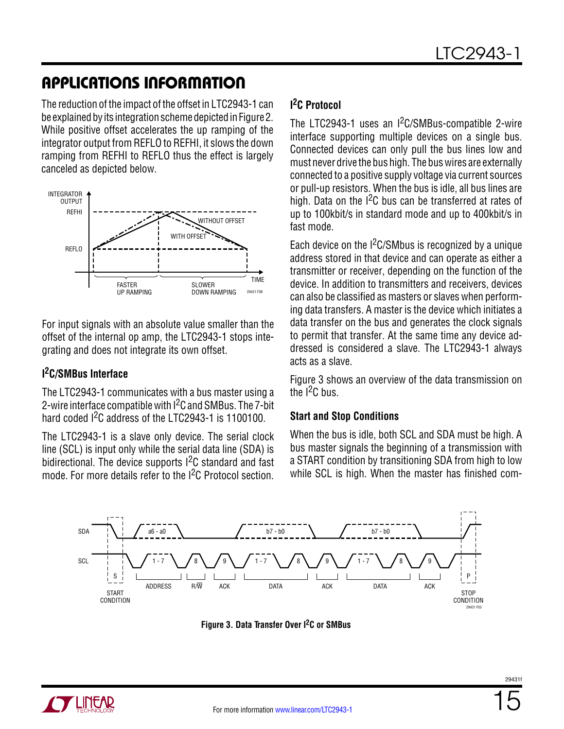The reduction of the impact of the offset in LTC2943-1 can be explained by its integration scheme depicted in Figure 2. While positive offset accelerates the up ramping of the integrator output from REFLO to REFHI, it slows the down ramping from REFHI to REFLO thus the effect is largely canceled as depicted below.



For input signals with an absolute value smaller than the offset of the internal op amp, the LTC2943-1 stops integrating and does not integrate its own offset.

### **I 2C/SMBus Interface**

The LTC2943-1 communicates with a bus master using a 2-wire interface compatible with <sup>2</sup>C and SMBus. The 7-bit hard coded <sup>2</sup>C address of the LTC2943-1 is 1100100.

The LTC2943-1 is a slave only device. The serial clock line (SCL) is input only while the serial data line (SDA) is bidirectional. The device supports I<sup>2</sup>C standard and fast mode. For more details refer to the I2C Protocol section.

### **I 2C Protocol**

The LTC2943-1 uses an I<sup>2</sup>C/SMBus-compatible 2-wire interface supporting multiple devices on a single bus. Connected devices can only pull the bus lines low and must never drive the bus high. The bus wires are externally connected to a positive supply voltage via current sources or pull-up resistors. When the bus is idle, all bus lines are high. Data on the  $1<sup>2</sup>C$  bus can be transferred at rates of up to 100kbit/s in standard mode and up to 400kbit/s in fast mode.

Each device on the  $1<sup>2</sup>C/SMbus$  is recognized by a unique address stored in that device and can operate as either a transmitter or receiver, depending on the function of the device. In addition to transmitters and receivers, devices can also be classified as masters or slaves when performing data transfers. A master is the device which initiates a data transfer on the bus and generates the clock signals to permit that transfer. At the same time any device addressed is considered a slave. The LTC2943-1 always acts as a slave.

Figure 3 shows an overview of the data transmission on the  $I^2C$  bus.

### **Start and Stop Conditions**

When the bus is idle, both SCL and SDA must be high. A bus master signals the beginning of a transmission with a START condition by transitioning SDA from high to low while SCL is high. When the master has finished com-



**Figure 3. Data Transfer Over I2C or SMBus**

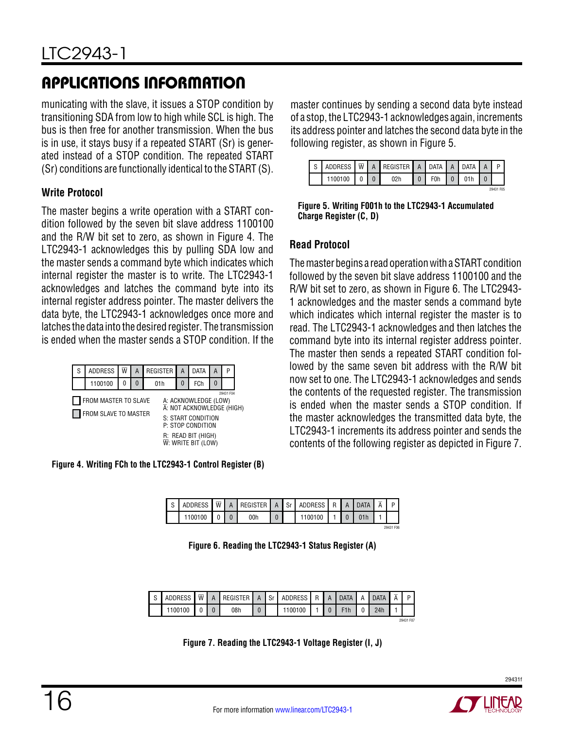municating with the slave, it issues a STOP condition by transitioning SDA from low to high while SCL is high. The bus is then free for another transmission. When the bus is in use, it stays busy if a repeated START (Sr) is generated instead of a STOP condition. The repeated START (Sr) conditions are functionally identical to the START (S).

### **Write Protocol**

The master begins a write operation with a START condition followed by the seven bit slave address 1100100 and the R/W bit set to zero, as shown in Figure 4. The LTC2943-1 acknowledges this by pulling SDA low and the master sends a command byte which indicates which internal register the master is to write. The LTC2943-1 acknowledges and latches the command byte into its internal register address pointer. The master delivers the data byte, the LTC2943-1 acknowledges once more and latches the data into the desired register. The transmission is ended when the master sends a STOP condition. If the

| S | <b>ADDRESS</b>                               | w | А | <b>REGISTER</b>                                                                                                                                                 | А | DATA      | А | р |  |
|---|----------------------------------------------|---|---|-----------------------------------------------------------------------------------------------------------------------------------------------------------------|---|-----------|---|---|--|
|   | 1100100                                      |   |   | 01 h                                                                                                                                                            | 0 | FCh       |   |   |  |
|   | FROM MASTER TO SLAVE<br>FROM SLAVE TO MASTER |   |   | A: ACKNOWLEDGE (LOW)<br>A: NOT ACKNOWLEDGE (HIGH)<br>S: START CONDITION<br>P: STOP CONDITION<br>R: READ BIT (HIGH)<br>$\overline{\mathsf{W}}$ : write bit (low) |   | 29431 F04 |   |   |  |

**Figure 4. Writing FCh to the LTC2943-1 Control Register (B)**

master continues by sending a second data byte instead of a stop, the LTC2943-1 acknowledges again, increments its address pointer and latches the second data byte in the following register, as shown in Figure 5.

|         |  | ADDRESS $\sqrt{w}$ A REGISTER A DATA A DATA A |                  |  |           |
|---------|--|-----------------------------------------------|------------------|--|-----------|
| 1100100 |  | 02h                                           | F <sub>0</sub> h |  |           |
|         |  |                                               |                  |  | 20431 FOR |

**Figure 5. Writing F001h to the LTC2943-1 Accumulated Charge Register (C, D)**

### **Read Protocol**

The master begins a read operation with a START condition followed by the seven bit slave address 1100100 and the R/W bit set to zero, as shown in Figure 6. The LTC2943- 1 acknowledges and the master sends a command byte which indicates which internal register the master is to read. The LTC2943-1 acknowledges and then latches the command byte into its internal register address pointer. The master then sends a repeated START condition followed by the same seven bit address with the R/W bit now set to one. The LTC2943-1 acknowledges and sends the contents of the requested register. The transmission is ended when the master sends a STOP condition. If the master acknowledges the transmitted data byte, the LTC2943-1 increments its address pointer and sends the contents of the following register as depicted in Figure 7.

| $\sim$ | ADDRESS | $\overline{\mathsf{W}}$ | REGISTER | $\Delta$ | $C_{r}$<br>וט | ADDRESS | R | ATA | D         |
|--------|---------|-------------------------|----------|----------|---------------|---------|---|-----|-----------|
|        | 1100100 |                         | 00h      |          |               | 1100100 |   |     |           |
|        |         |                         |          |          |               |         |   |     | 29431 F06 |

**Figure 6. Reading the LTC2943-1 Status Register (A)**

| ADDRESS | $\overline{w}$ | A | REGISTER | Δ | Sr | ADDRESS   R   A   DATA |  |  | <b>DATA</b> | $\overline{\Lambda}$ | D         |
|---------|----------------|---|----------|---|----|------------------------|--|--|-------------|----------------------|-----------|
| 100100  |                |   | 08h      |   |    | 1100100                |  |  | 24h         |                      |           |
|         |                |   |          |   |    |                        |  |  |             |                      | 29431 F07 |

**Figure 7. Reading the LTC2943-1 Voltage Register (I, J)**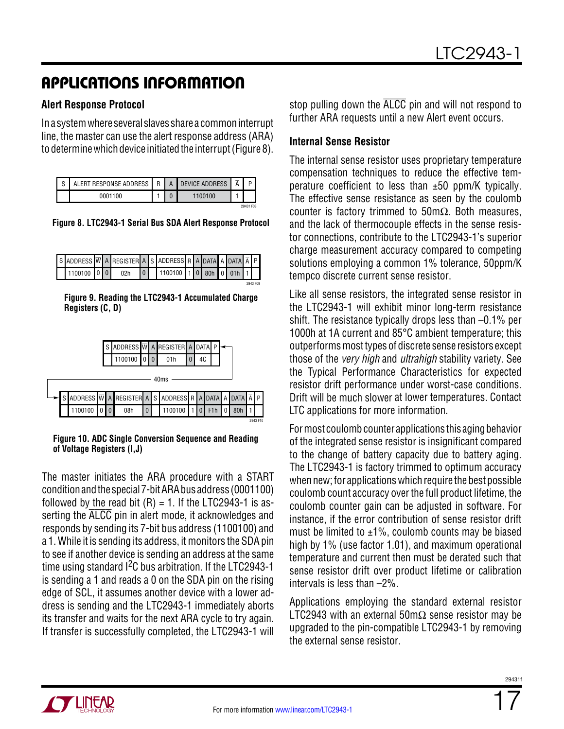#### **Alert Response Protocol**

In a systemwhere several slaves share a commoninterrupt line, the master can use the alert response address (ARA) to determine which device initiated the interrupt (Figure 8).

| $\sim$<br>ن | ALERT RESPONSE ADDRESS | R | A | <b>DEVICE ADDRESS</b> | D         |
|-------------|------------------------|---|---|-----------------------|-----------|
|             | 0001100                |   |   | - 10 -                |           |
|             |                        |   |   |                       | 29431 F08 |

**Figure 8. LTC2943-1 Serial Bus SDA Alert Response Protocol**

| S ADDRESS $\overline{W}$ A REGISTER A S ADDRESS R A DATA A DATA $\overline{A}$ P |  |  |                           |  |  |  |          |
|----------------------------------------------------------------------------------|--|--|---------------------------|--|--|--|----------|
| 1100100 0 0 02h                                                                  |  |  | 0 1100100 1 0 80h 0 01h 1 |  |  |  |          |
|                                                                                  |  |  |                           |  |  |  | 2943 F09 |

**Figure 9. Reading the LTC2943-1 Accumulated Charge Registers (C, D)**



#### **Figure 10. ADC Single Conversion Sequence and Reading of Voltage Registers (I,J)**

The master initiates the ARA procedure with a START conditionandthe special 7-bitARAbus address (0001100) followed by the read bit  $(R) = 1$ . If the LTC2943-1 is asserting the ALCC pin in alert mode, it acknowledges and responds by sending its 7-bit bus address (1100100) and a 1. While it is sending its address, it monitors the SDA pin to see if another device is sending an address at the same time using standard  $1<sup>2</sup>C$  bus arbitration. If the LTC2943-1 is sending a 1 and reads a 0 on the SDA pin on the rising edge of SCL, it assumes another device with a lower address is sending and the LTC2943-1 immediately aborts its transfer and waits for the next ARA cycle to try again. If transfer is successfully completed, the LTC2943-1 will stop pulling down the ALCC pin and will not respond to further ARA requests until a new Alert event occurs.

### **Internal Sense Resistor**

The internal sense resistor uses proprietary temperature compensation techniques to reduce the effective temperature coefficient to less than ±50 ppm/K typically. The effective sense resistance as seen by the coulomb counter is factory trimmed to 50mΩ. Both measures, and the lack of thermocouple effects in the sense resistor connections, contribute to the LTC2943-1's superior charge measurement accuracy compared to competing solutions employing a common 1% tolerance, 50ppm/K tempco discrete current sense resistor.

Like all sense resistors, the integrated sense resistor in the LTC2943-1 will exhibit minor long-term resistance shift. The resistance typically drops less than –0.1% per 1000h at 1A current and 85°C ambient temperature; this outperforms most types of discrete sense resistors except those of the *very high* and *ultrahigh* stability variety. See the Typical Performance Characteristics for expected resistor drift performance under worst-case conditions. Drift will be much slower at lower temperatures. Contact LTC applications for more information.

For most coulomb counter applications this aging behavior of the integrated sense resistor is insignificant compared to the change of battery capacity due to battery aging. The LTC2943-1 is factory trimmed to optimum accuracy when new; for applications which require the best possible coulomb count accuracy over the full product lifetime, the coulomb counter gain can be adjusted in software. For instance, if the error contribution of sense resistor drift must be limited to  $\pm 1\%$ , coulomb counts may be biased high by 1% (use factor 1.01), and maximum operational temperature and current then must be derated such that sense resistor drift over product lifetime or calibration intervals is less than –2%.

Applications employing the standard external resistor LTC2943 with an external 50m $\Omega$  sense resistor may be upgraded to the pin-compatible LTC2943-1 by removing the external sense resistor.

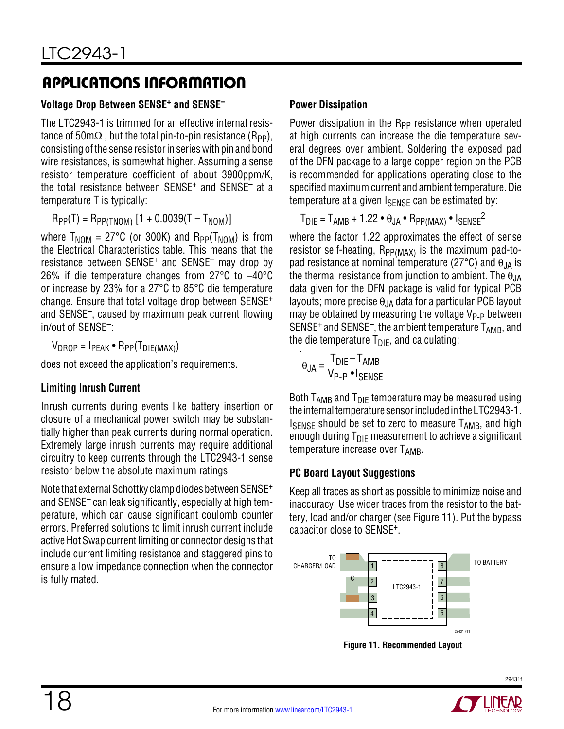### **Voltage Drop Between SENSE+ and SENSE–**

The LTC2943-1 is trimmed for an effective internal resistance of 50m $\Omega$ , but the total pin-to-pin resistance (R<sub>PP</sub>), consisting of the sense resistor in series with pin and bond wire resistances, is somewhat higher. Assuming a sense resistor temperature coefficient of about 3900ppm/K, the total resistance between SENSE+ and SENSE– at a temperature T is typically:

 $R_{PP}(T) = R_{PP(TNOM)} [1 + 0.0039(T - T_{NOM})]$ 

where  $T_{\text{NOM}} = 27^{\circ}C$  (or 300K) and  $R_{\text{PP}}(T_{\text{NOM}})$  is from the Electrical Characteristics table. This means that the resistance between SENSE+ and SENSE– may drop by 26% if die temperature changes from 27°C to –40°C or increase by 23% for a 27°C to 85°C die temperature change. Ensure that total voltage drop between SENSE<sup>+</sup> and SENSE–, caused by maximum peak current flowing in/out of SENSE–:

 $V_{DROP} = I_{PEAK} \cdot R_{PP}(T_{DIE(MAX)})$ 

does not exceed the application's requirements.

### **Limiting Inrush Current**

Inrush currents during events like battery insertion or closure of a mechanical power switch may be substantially higher than peak currents during normal operation. Extremely large inrush currents may require additional circuitry to keep currents through the LTC2943-1 sense resistor below the absolute maximum ratings.

Note that external Schottky clamp diodes between SENSE+ and SENSE– can leak significantly, especially at high temperature, which can cause significant coulomb counter errors. Preferred solutions to limit inrush current include active Hot Swap current limiting or connector designs that include current limiting resistance and staggered pins to ensure a low impedance connection when the connector is fully mated.

### **Power Dissipation**

Power dissipation in the R<sub>PP</sub> resistance when operated at high currents can increase the die temperature several degrees over ambient. Soldering the exposed pad of the DFN package to a large copper region on the PCB is recommended for applications operating close to the specified maximum current and ambient temperature. Die temperature at a given  $I_{\text{SFNSF}}$  can be estimated by:

$$
T_{\text{DIE}} = T_{\text{AMB}} + 1.22 \cdot \theta_{\text{JA}} \cdot R_{\text{PP}(\text{MAX})} \cdot I_{\text{SENSE}}^2
$$

where the factor 1.22 approximates the effect of sense resistor self-heating,  $R_{PP(MAX)}$  is the maximum pad-topad resistance at nominal temperature (27 $\degree$ C) and  $\theta_{\text{JA}}$  is the thermal resistance from junction to ambient. The  $\theta_{JA}$ data given for the DFN package is valid for typical PCB layouts; more precise  $\theta_{JA}$  data for a particular PCB layout may be obtained by measuring the voltage  $V_{P-P}$  between SENSE<sup>+</sup> and SENSE<sup>-</sup>, the ambient temperature  $T_{AMB}$ , and the die temperature  $T_{\text{DIE}}$ , and calculating:

$$
\Theta_{JA} = \frac{T_{DIE} - T_{AMB}}{V_{P-P} \cdot I_{SENSE}}
$$

Both  $T_{AMB}$  and  $T_{DIE}$  temperature may be measured using the internal temperature sensor included in the LTC2943-1. ISENSE should be set to zero to measure TAMB, and high enough during  $T_{\text{DIF}}$  measurement to achieve a significant  $temperature$  increase over  $T_{AMB}$ .

### **PC Board Layout Suggestions**

Keep all traces as short as possible to minimize noise and inaccuracy. Use wider traces from the resistor to the battery, load and/or charger (see Figure 11). Put the bypass capacitor close to SENSE+.



**Figure 11. Recommended Layout**

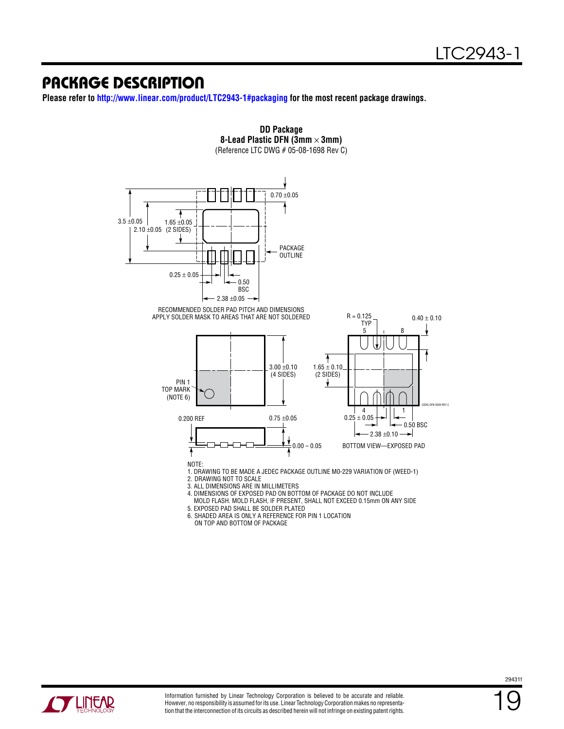### Package Description

**Please refer to<http://www.linear.com/product/LTC2943-1#packaging> for the most recent package drawings.**



**DD Package 8-Lead Plastic DFN (3mm** × **3mm)**

5. EXPOSED PAD SHALL BE SOLDER PLATED 6. SHADED AREA IS ONLY A REFERENCE FOR PIN 1 LOCATION

ON TOP AND BOTTOM OF PACKAGE